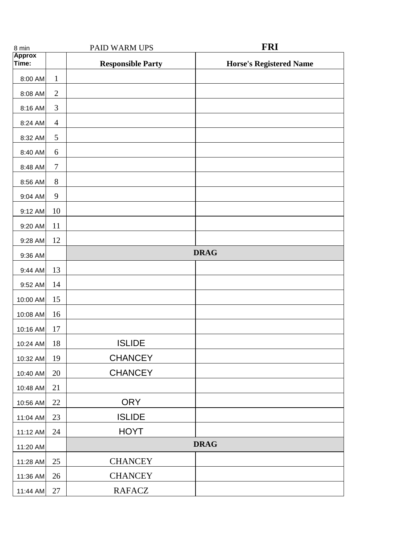| 8 min                  |                | PAID WARM UPS            | <b>FRI</b>                     |
|------------------------|----------------|--------------------------|--------------------------------|
| <b>Approx</b><br>Time: |                | <b>Responsible Party</b> | <b>Horse's Registered Name</b> |
| 8:00 AM                | $\mathbf{1}$   |                          |                                |
| 8:08 AM                | $\overline{2}$ |                          |                                |
| 8:16 AM                | 3              |                          |                                |
| 8:24 AM                | $\overline{4}$ |                          |                                |
| 8:32 AM                | 5              |                          |                                |
| 8:40 AM                | 6              |                          |                                |
| 8:48 AM                | $\tau$         |                          |                                |
| 8:56 AM                | 8              |                          |                                |
| 9:04 AM                | 9              |                          |                                |
| 9:12 AM                | 10             |                          |                                |
| 9:20 AM                | 11             |                          |                                |
| 9:28 AM                | 12             |                          |                                |
| 9:36 AM                |                |                          | <b>DRAG</b>                    |
| 9:44 AM                | 13             |                          |                                |
| 9:52 AM                | 14             |                          |                                |
| 10:00 AM               | 15             |                          |                                |
| 10:08 AM               | 16             |                          |                                |
| 10:16 AM               | 17             |                          |                                |
| 10:24 AM               | 18             | <b>ISLIDE</b>            |                                |
| 10:32 AM               | 19             | <b>CHANCEY</b>           |                                |
| 10:40 AM               | 20             | <b>CHANCEY</b>           |                                |
| 10:48 AM               | 21             |                          |                                |
| 10:56 AM               | 22             | <b>ORY</b>               |                                |
| 11:04 AM               | 23             | <b>ISLIDE</b>            |                                |
| 11:12 AM               | 24             | <b>HOYT</b>              |                                |
| 11:20 AM               |                |                          | <b>DRAG</b>                    |
| 11:28 AM               | 25             | <b>CHANCEY</b>           |                                |
| 11:36 AM               | 26             | <b>CHANCEY</b>           |                                |
| 11:44 AM               | $27\,$         | <b>RAFACZ</b>            |                                |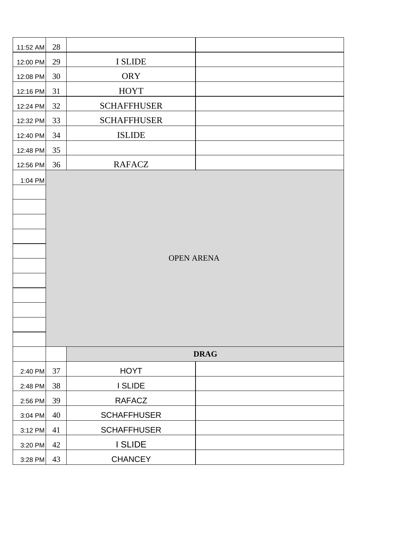| 11:52 AM | 28                |                    |             |  |  |  |
|----------|-------------------|--------------------|-------------|--|--|--|
| 12:00 PM | 29                | <b>I SLIDE</b>     |             |  |  |  |
| 12:08 PM | 30                | <b>ORY</b>         |             |  |  |  |
| 12:16 PM | 31                | <b>HOYT</b>        |             |  |  |  |
| 12:24 PM | 32                | <b>SCHAFFHUSER</b> |             |  |  |  |
| 12:32 PM | 33                | <b>SCHAFFHUSER</b> |             |  |  |  |
| 12:40 PM | 34                | <b>ISLIDE</b>      |             |  |  |  |
| 12:48 PM | 35                |                    |             |  |  |  |
| 12:56 PM | 36                | <b>RAFACZ</b>      |             |  |  |  |
| 1:04 PM  |                   |                    |             |  |  |  |
|          |                   |                    |             |  |  |  |
|          |                   |                    |             |  |  |  |
|          |                   |                    |             |  |  |  |
|          |                   |                    |             |  |  |  |
|          |                   |                    |             |  |  |  |
|          | <b>OPEN ARENA</b> |                    |             |  |  |  |
|          |                   |                    |             |  |  |  |
|          |                   |                    |             |  |  |  |
|          |                   |                    |             |  |  |  |
|          |                   |                    |             |  |  |  |
|          |                   |                    |             |  |  |  |
|          |                   |                    |             |  |  |  |
|          |                   |                    | <b>DRAG</b> |  |  |  |
| 2:40 PM  | 37                | <b>HOYT</b>        |             |  |  |  |
| 2:48 PM  | 38                | I SLIDE            |             |  |  |  |
| 2:56 PM  | 39                | <b>RAFACZ</b>      |             |  |  |  |
| 3:04 PM  | 40                | <b>SCHAFFHUSER</b> |             |  |  |  |
| 3:12 PM  | 41                | <b>SCHAFFHUSER</b> |             |  |  |  |
| 3:20 PM  | 42                | I SLIDE            |             |  |  |  |
| 3:28 PM  | 43                | <b>CHANCEY</b>     |             |  |  |  |